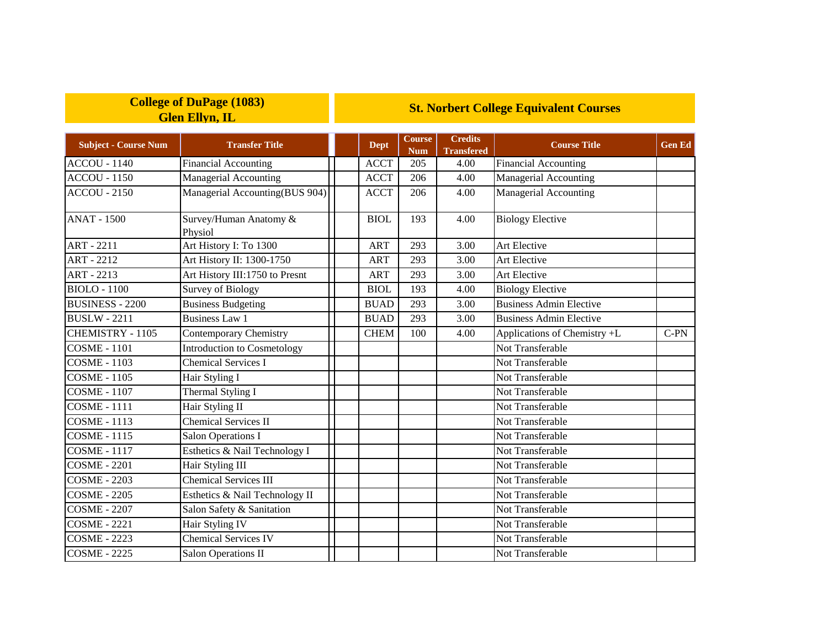## **College of DuPage (1083) Glen Ellyn, IL**

## **St. Norbert College Equivalent Courses**

| <b>Subject - Course Num</b> | <b>Transfer Title</b>             | <b>Dept</b> | <b>Course</b><br><b>Num</b> | <b>Credits</b><br><b>Transfered</b> | <b>Course Title</b>            | <b>Gen Ed</b> |
|-----------------------------|-----------------------------------|-------------|-----------------------------|-------------------------------------|--------------------------------|---------------|
| <b>ACCOU - 1140</b>         | <b>Financial Accounting</b>       | <b>ACCT</b> | 205                         | 4.00                                | <b>Financial Accounting</b>    |               |
| <b>ACCOU - 1150</b>         | Managerial Accounting             | <b>ACCT</b> | 206                         | 4.00                                | Managerial Accounting          |               |
| <b>ACCOU - 2150</b>         | Managerial Accounting(BUS 904)    | <b>ACCT</b> | 206                         | 4.00                                | <b>Managerial Accounting</b>   |               |
| <b>ANAT - 1500</b>          | Survey/Human Anatomy &<br>Physiol | <b>BIOL</b> | 193                         | 4.00                                | <b>Biology Elective</b>        |               |
| <b>ART - 2211</b>           | Art History I: To 1300            | <b>ART</b>  | 293                         | 3.00                                | <b>Art Elective</b>            |               |
| <b>ART - 2212</b>           | Art History II: 1300-1750         | <b>ART</b>  | 293                         | 3.00                                | Art Elective                   |               |
| <b>ART - 2213</b>           | Art History III:1750 to Presnt    | <b>ART</b>  | 293                         | 3.00                                | Art Elective                   |               |
| <b>BIOLO - 1100</b>         | <b>Survey of Biology</b>          | <b>BIOL</b> | 193                         | 4.00                                | <b>Biology Elective</b>        |               |
| <b>BUSINESS - 2200</b>      | <b>Business Budgeting</b>         | <b>BUAD</b> | 293                         | 3.00                                | <b>Business Admin Elective</b> |               |
| <b>BUSLW - 2211</b>         | <b>Business Law 1</b>             | <b>BUAD</b> | 293                         | 3.00                                | <b>Business Admin Elective</b> |               |
| CHEMISTRY - 1105            | <b>Contemporary Chemistry</b>     | <b>CHEM</b> | 100                         | 4.00                                | Applications of Chemistry +L   | $C-PN$        |
| <b>COSME - 1101</b>         | Introduction to Cosmetology       |             |                             |                                     | Not Transferable               |               |
| <b>COSME - 1103</b>         | <b>Chemical Services I</b>        |             |                             |                                     | Not Transferable               |               |
| <b>COSME - 1105</b>         | Hair Styling I                    |             |                             |                                     | Not Transferable               |               |
| <b>COSME - 1107</b>         | Thermal Styling I                 |             |                             |                                     | Not Transferable               |               |
| <b>COSME - 1111</b>         | Hair Styling II                   |             |                             |                                     | Not Transferable               |               |
| <b>COSME - 1113</b>         | <b>Chemical Services II</b>       |             |                             |                                     | Not Transferable               |               |
| <b>COSME - 1115</b>         | <b>Salon Operations I</b>         |             |                             |                                     | Not Transferable               |               |
| <b>COSME - 1117</b>         | Esthetics & Nail Technology I     |             |                             |                                     | Not Transferable               |               |
| <b>COSME - 2201</b>         | Hair Styling III                  |             |                             |                                     | Not Transferable               |               |
| <b>COSME - 2203</b>         | <b>Chemical Services III</b>      |             |                             |                                     | Not Transferable               |               |
| <b>COSME - 2205</b>         | Esthetics & Nail Technology II    |             |                             |                                     | Not Transferable               |               |
| <b>COSME - 2207</b>         | Salon Safety & Sanitation         |             |                             |                                     | Not Transferable               |               |
| <b>COSME - 2221</b>         | Hair Styling IV                   |             |                             |                                     | Not Transferable               |               |
| <b>COSME - 2223</b>         | <b>Chemical Services IV</b>       |             |                             |                                     | Not Transferable               |               |
| <b>COSME - 2225</b>         | Salon Operations II               |             |                             |                                     | Not Transferable               |               |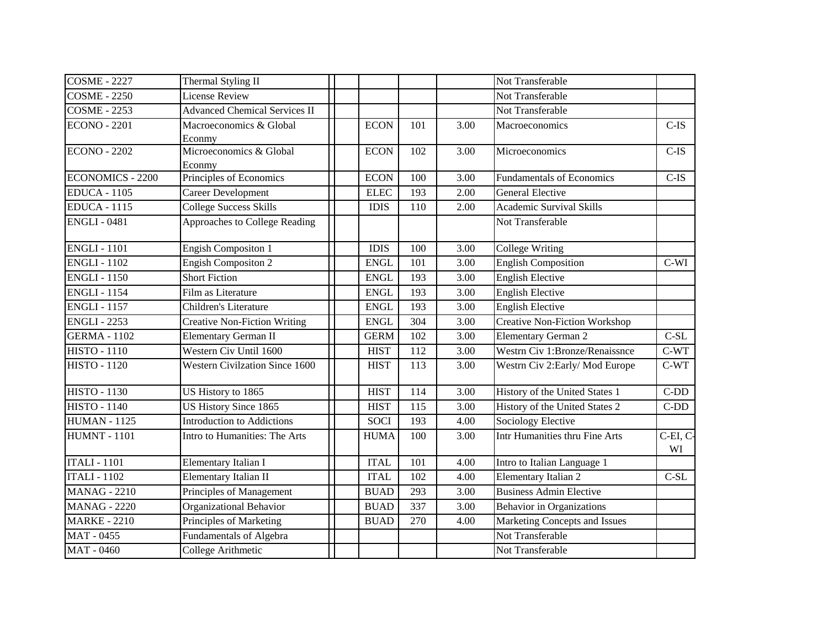| <b>COSME - 2227</b>     | Thermal Styling II                    |             |     |      | Not Transferable                     |               |
|-------------------------|---------------------------------------|-------------|-----|------|--------------------------------------|---------------|
| <b>COSME - 2250</b>     | <b>License Review</b>                 |             |     |      | Not Transferable                     |               |
| <b>COSME - 2253</b>     | <b>Advanced Chemical Services II</b>  |             |     |      | Not Transferable                     |               |
| <b>ECONO - 2201</b>     | Macroeconomics & Global<br>Econmy     | <b>ECON</b> | 101 | 3.00 | Macroeconomics                       | $C-IS$        |
| <b>ECONO - 2202</b>     | Microeconomics & Global<br>Econmy     | <b>ECON</b> | 102 | 3.00 | Microeconomics                       | $C$ -IS       |
| <b>ECONOMICS - 2200</b> | Principles of Economics               | <b>ECON</b> | 100 | 3.00 | <b>Fundamentals of Economics</b>     | $C$ -IS       |
| <b>EDUCA - 1105</b>     | <b>Career Development</b>             | <b>ELEC</b> | 193 | 2.00 | <b>General Elective</b>              |               |
| <b>EDUCA - 1115</b>     | <b>College Success Skills</b>         | <b>IDIS</b> | 110 | 2.00 | <b>Academic Survival Skills</b>      |               |
| <b>ENGLI-0481</b>       | Approaches to College Reading         |             |     |      | Not Transferable                     |               |
| <b>ENGLI-1101</b>       | <b>Engish Compositon 1</b>            | <b>IDIS</b> | 100 | 3.00 | <b>College Writing</b>               |               |
| <b>ENGLI - 1102</b>     | <b>Engish Compositon 2</b>            | <b>ENGL</b> | 101 | 3.00 | <b>English Composition</b>           | $C-WI$        |
| <b>ENGLI - 1150</b>     | <b>Short Fiction</b>                  | <b>ENGL</b> | 193 | 3.00 | <b>English Elective</b>              |               |
| <b>ENGLI - 1154</b>     | Film as Literature                    | <b>ENGL</b> | 193 | 3.00 | <b>English Elective</b>              |               |
| <b>ENGLI - 1157</b>     | Children's Literature                 | <b>ENGL</b> | 193 | 3.00 | <b>English Elective</b>              |               |
| <b>ENGLI - 2253</b>     | <b>Creative Non-Fiction Writing</b>   | <b>ENGL</b> | 304 | 3.00 | <b>Creative Non-Fiction Workshop</b> |               |
| <b>GERMA - 1102</b>     | <b>Elementary German II</b>           | <b>GERM</b> | 102 | 3.00 | <b>Elementary German 2</b>           | $C-SL$        |
| <b>HISTO - 1110</b>     | Western Civ Until 1600                | <b>HIST</b> | 112 | 3.00 | Westrn Civ 1:Bronze/Renaissnce       | C-WT          |
| <b>HISTO - 1120</b>     | <b>Western Civilzation Since 1600</b> | <b>HIST</b> | 113 | 3.00 | Westrn Civ 2: Early/Mod Europe       | $C-WT$        |
| <b>HISTO - 1130</b>     | US History to 1865                    | <b>HIST</b> | 114 | 3.00 | History of the United States 1       | $C-DD$        |
| <b>HISTO - 1140</b>     | US History Since 1865                 | <b>HIST</b> | 115 | 3.00 | History of the United States 2       | $C-DD$        |
| <b>HUMAN - 1125</b>     | <b>Introduction to Addictions</b>     | <b>SOCI</b> | 193 | 4.00 | Sociology Elective                   |               |
| <b>HUMNT - 1101</b>     | Intro to Humanities: The Arts         | <b>HUMA</b> | 100 | 3.00 | Intr Humanities thru Fine Arts       | C-EI, C<br>WI |
| <b>ITALI - 1101</b>     | Elementary Italian I                  | <b>ITAL</b> | 101 | 4.00 | Intro to Italian Language 1          |               |
| <b>ITALI - 1102</b>     | Elementary Italian II                 | <b>ITAL</b> | 102 | 4.00 | Elementary Italian 2                 | $C-SL$        |
| <b>MANAG - 2210</b>     | Principles of Management              | <b>BUAD</b> | 293 | 3.00 | <b>Business Admin Elective</b>       |               |
| <b>MANAG - 2220</b>     | <b>Organizational Behavior</b>        | <b>BUAD</b> | 337 | 3.00 | <b>Behavior</b> in Organizations     |               |
| <b>MARKE - 2210</b>     | Principles of Marketing               | <b>BUAD</b> | 270 | 4.00 | Marketing Concepts and Issues        |               |
| MAT - 0455              | <b>Fundamentals of Algebra</b>        |             |     |      | Not Transferable                     |               |
| MAT - 0460              | College Arithmetic                    |             |     |      | Not Transferable                     |               |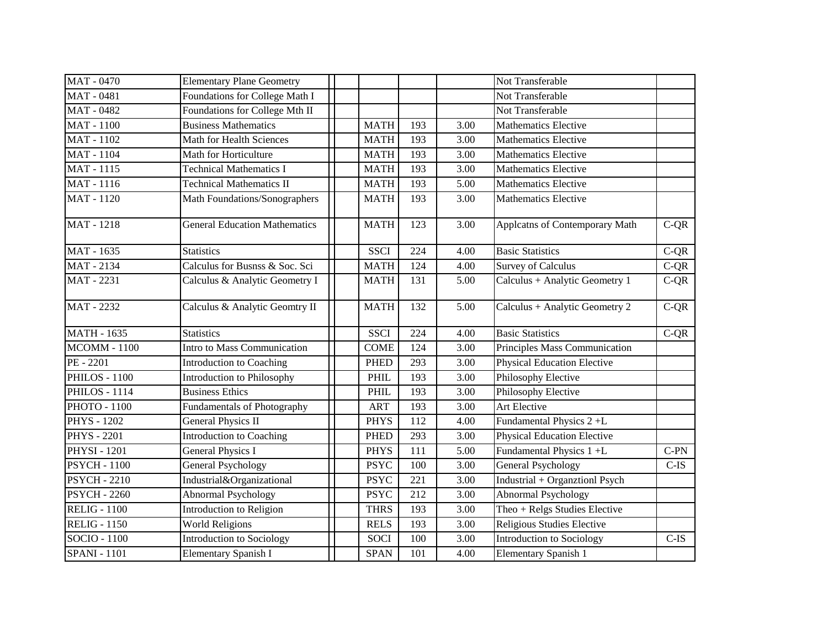| <b>MAT - 0470</b>         | <b>Elementary Plane Geometry</b>     |             |     |      | Not Transferable                   |         |
|---------------------------|--------------------------------------|-------------|-----|------|------------------------------------|---------|
| <b>MAT - 0481</b>         | Foundations for College Math I       |             |     |      | Not Transferable                   |         |
| <b>MAT - 0482</b>         | Foundations for College Mth II       |             |     |      | Not Transferable                   |         |
| <b>MAT</b> - 1100         | <b>Business Mathematics</b>          | <b>MATH</b> | 193 | 3.00 | <b>Mathematics Elective</b>        |         |
| <b>MAT</b> - 1102         | Math for Health Sciences             | <b>MATH</b> | 193 | 3.00 | <b>Mathematics Elective</b>        |         |
| <b>MAT - 1104</b>         | Math for Horticulture                | <b>MATH</b> | 193 | 3.00 | <b>Mathematics Elective</b>        |         |
| <b>MAT-1115</b>           | <b>Technical Mathematics I</b>       | <b>MATH</b> | 193 | 3.00 | <b>Mathematics Elective</b>        |         |
| MAT - 1116                | <b>Technical Mathematics II</b>      | <b>MATH</b> | 193 | 5.00 | <b>Mathematics Elective</b>        |         |
| <b>MAT</b> - 1120         | Math Foundations/Sonographers        | <b>MATH</b> | 193 | 3.00 | <b>Mathematics Elective</b>        |         |
| <b>MAT</b> - 1218         | <b>General Education Mathematics</b> | <b>MATH</b> | 123 | 3.00 | Applcatns of Contemporary Math     | $C-QR$  |
| MAT - 1635                | <b>Statistics</b>                    | <b>SSCI</b> | 224 | 4.00 | <b>Basic Statistics</b>            | $C-QR$  |
| <b>MAT-2134</b>           | Calculus for Busnss & Soc. Sci       | <b>MATH</b> | 124 | 4.00 | <b>Survey of Calculus</b>          | $C-QR$  |
| MAT - 2231                | Calculus & Analytic Geometry I       | <b>MATH</b> | 131 | 5.00 | Calculus + Analytic Geometry 1     | $C-QR$  |
| <b>MAT - 2232</b>         | Calculus & Analytic Geomtry II       | <b>MATH</b> | 132 | 5.00 | Calculus + Analytic Geometry 2     | $C-QR$  |
| <b>MATH - 1635</b>        | <b>Statistics</b>                    | <b>SSCI</b> | 224 | 4.00 | <b>Basic Statistics</b>            | $C-QR$  |
| <b>MCOMM - 1100</b>       | Intro to Mass Communication          | <b>COME</b> | 124 | 3.00 | Principles Mass Communication      |         |
| PE - 2201                 | Introduction to Coaching             | <b>PHED</b> | 293 | 3.00 | <b>Physical Education Elective</b> |         |
| PHILOS - 1100             | Introduction to Philosophy           | PHIL        | 193 | 3.00 | Philosophy Elective                |         |
| <b>PHILOS - 1114</b>      | <b>Business Ethics</b>               | PHIL        | 193 | 3.00 | Philosophy Elective                |         |
| РНОТО - 1100              | Fundamentals of Photography          | <b>ART</b>  | 193 | 3.00 | Art Elective                       |         |
| <b>PHYS - 1202</b>        | <b>General Physics II</b>            | <b>PHYS</b> | 112 | 4.00 | Fundamental Physics 2+L            |         |
| <b>PHYS</b> - 2201        | Introduction to Coaching             | <b>PHED</b> | 293 | 3.00 | <b>Physical Education Elective</b> |         |
| <b>PHYSI - 1201</b>       | <b>General Physics I</b>             | <b>PHYS</b> | 111 | 5.00 | Fundamental Physics 1 +L           | $C-PN$  |
| <b>PSYCH - 1100</b>       | <b>General Psychology</b>            | <b>PSYC</b> | 100 | 3.00 | General Psychology                 | $C$ -IS |
| <b>PSYCH - 2210</b>       | Industrial&Organizational            | <b>PSYC</b> | 221 | 3.00 | Industrial + Organztionl Psych     |         |
| <b>PSYCH - 2260</b>       | <b>Abnormal Psychology</b>           | <b>PSYC</b> | 212 | 3.00 | Abnormal Psychology                |         |
| <b>RELIG - 1100</b>       | Introduction to Religion             | <b>THRS</b> | 193 | 3.00 | Theo + Relgs Studies Elective      |         |
| RELIG - $1\overline{150}$ | <b>World Religions</b>               | <b>RELS</b> | 193 | 3.00 | Religious Studies Elective         |         |
| SOCIO - 1100              | Introduction to Sociology            | <b>SOCI</b> | 100 | 3.00 | Introduction to Sociology          | $C$ -IS |
| <b>SPANI - 1101</b>       | <b>Elementary Spanish I</b>          | <b>SPAN</b> | 101 | 4.00 | Elementary Spanish 1               |         |